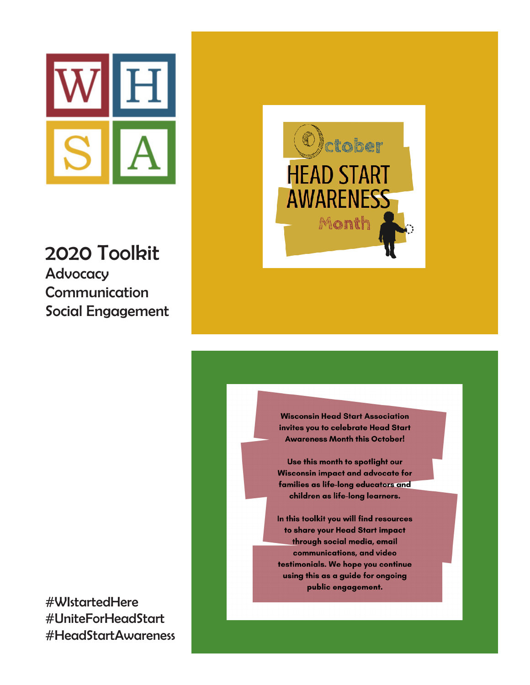

2020 Toolkit **Advocacy** Communication Social Engagement

#WIstartedHere #UniteForHeadStart #HeadStartAwareness



**Wisconsin Head Start Association** invites you to celebrate Head Start **Awareness Month this October!** 

Use this month to spotlight our **Wisconsin impact and advocate for** families as life-long educators and children as life-long learners.

In this toolkit you will find resources to share your Head Start impact through social media, email communications, and video testimonials. We hope you continue using this as a guide for ongoing public engagement.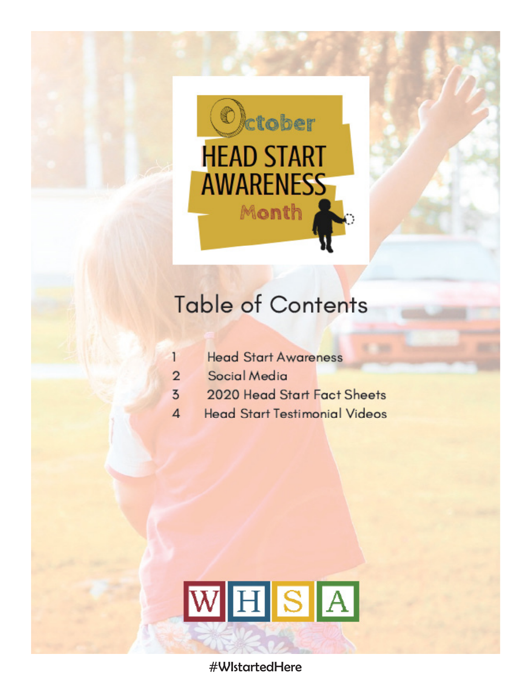

# **Table of Contents**

- $\mathbf{1}$ **Head Start Awareness**
- Social Media  $\overline{2}$
- $\overline{5}$ 2020 Head Start Fact Sheets
- **Head Start Testimonial Videos**  $\Delta$



#WIstartedHere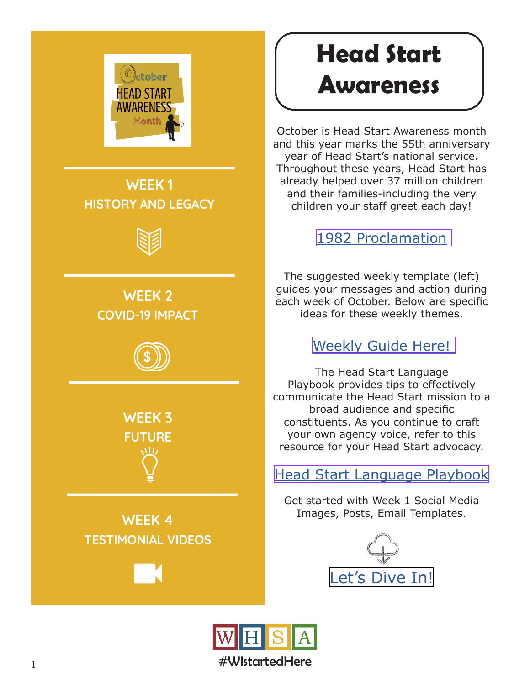

**WEEK 1 HISTORY AND LEGACY**



## **WEEK 2 COVID-19 IMPACT**



**WEEK 3 FUTURE**

**WEEK 4 TESTIMONIAL VIDEOS**

# **Head Start Awareness**

October is Head Start Awareness month and this year marks the 55th anniversary year of Head Start's national service. Throughout these years, Head Start has already helped over 37 million children and their families-including the very children your staff greet each day!

### [1982 Proclamation](https://www.presidency.ucsb.edu/documents/proclamation-4990-head-start-awareness-month)

The suggested weekly template (left) guides your messages and action during each week of October. Below are specific ideas for these weekly themes.

### [Weekly Guide Here!](https://www.reachdane.org/octhsaware/October%20Head%20Start%20Awareness%20Month%20WHSA%20Tool%20Kit%20Final.pdf)

The Head Start Language Playbook provides tips to effectively communicate the Head Start mission to a broad audience and specific constituents. As you continue to craft your own agency voice, refer to this resource for your Head Start advocacy.

### [Head Start Language Playbook](https://playbook.nhsa.org/)

Get started with Week 1 Social Media Images, Posts, Email Templates.



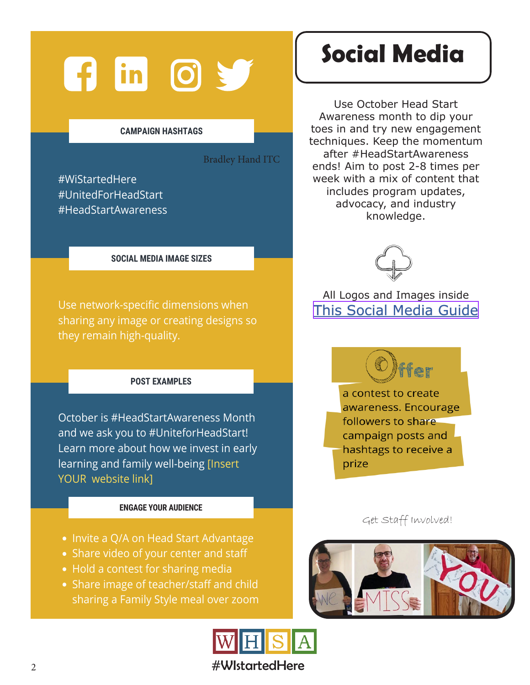# **Fig. 15** (6)

#### **CAMPAIGN HASHTAGS**

Bradley Hand ITC

#WiStartedHere #UnitedForHeadStart #HeadStartAwareness

#### **SOCIAL MEDIA IMAGE SIZES**

Use network-specific dimensions when sharing any image or creating designs so they remain high-quality.

#### **POST EXAMPLES**

October is #HeadStartAwareness Month and we ask you to #UniteforHeadStart! Learn more about how we invest in early learning and family well-being [Insert YOUR website link]

#### **ENGAGE YOUR AUDIENCE**

- Invite a Q/A on Head Start Advantage
- Share video of your center and staff
- Hold a contest for sharing media
- Share image of teacher/staff and child sharing a Family Style meal over zoom



### 2 **#WIstartedHere**

# **Social Media**

Use October Head Start Awareness month to dip your toes in and try new engagement techniques. Keep the momentum after #HeadStartAwareness ends! Aim to post 2-8 times per week with a mix of content that includes program updates, advocacy, and industry knowledge.



### All Logos and Images inside [This Social Media Guide](https://www.reachdane.org/octhsaware/Social%20Media%20Toolkit%20October%20Head%20Start%20Awareness.pdf)

a contest to create awareness. Encourage followers to share campaign posts and hashtags to receive a prize

.<br>Ter

Get Staff Involved!

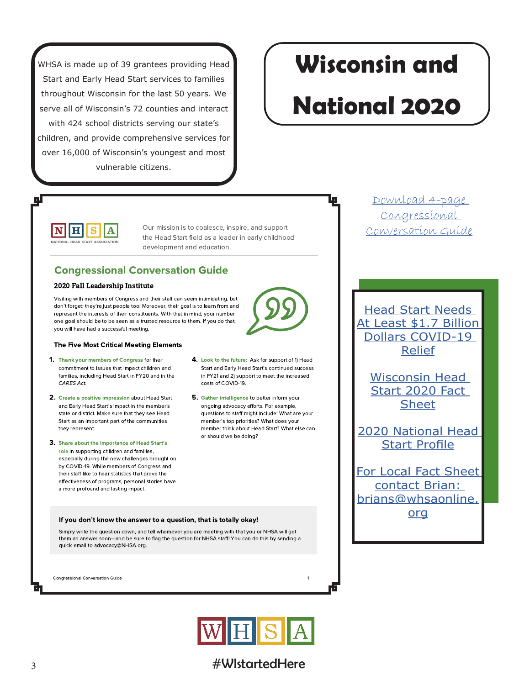WHSA is made up of 39 grantees providing Head Start and Early Head Start services to families throughout Wisconsin for the last 50 years. We serve all of Wisconsin's 72 counties and interact with 424 school districts serving our state's children, and provide comprehensive services for over 16,000 of Wisconsin's youngest and most vulnerable citizens.

# **Wisconsin and**

# **National 2020**

IН IN I S IA. **IATIONAL HEAD START ASSOCIATION** 

Our mission is to coalesce, inspire, and support the Head Start field as a leader in early childhood development and education.

costs of COVID-19.

### **Congressional Conversation Guide**

#### 2020 Fall Leadership Institute

Visiting with members of Congress and their staff can seem intimidating, but don't forget: they're just people too! Moreover, their goal is to learn from and represent the interests of their constituents. With that in mind, your number one goal should be to be seen as a trusted resource to them. If you do that, you will have had a successful meeting.



- 1. Thank your members of Congress for their commitment to issues that impact children and families, including Head Start in FY20 and in the CARES Act
- 2. Create a positive impression about Head Start and Early Head Start's impact in the member's state or district. Make sure that they see Head Start as an important part of the communities they represent.
- 3. Share about the importance of Head Start's role in supporting children and families, especially during the new challenges brought on by COVID-19. While members of Congress and their staff like to hear statistics that prove the effectiveness of programs, personal stories have a more profound and lasting impact.
- 4. Look to the future: Ask for support of 1) Head Start and Early Head Start's continued success in FY21 and 2) support to meet the increased
- 5. Gather intelligence to better inform your ongoing advocacy efforts. For example, questions to staff might include: What are your member's top priorities? What does your member think about Head Start? What else can or should we be doing?

#### If you don't know the answer to a question, that is totally okay!

Simply write the question down, and tell whomever you are meeting with that you or NHSA will get them an answer soon-and be sure to flag the question for NHSA staff! You can do this by sending a quick email to advocacy@NHSA.org.

Congressional Conversation Guide



### #WistartedHere

Download 4-page Congressional Conversation Guide

**Head Start Needs** At Least \$1.7 Billion **Dollars COVID-19 Relief** 

> **Wisconsin Head** Start 2020 Fact **Sheet**

2020 National Head **Start Profile** 

**For Local Fact Sheet** contact Brian: brians@whsaonline. org